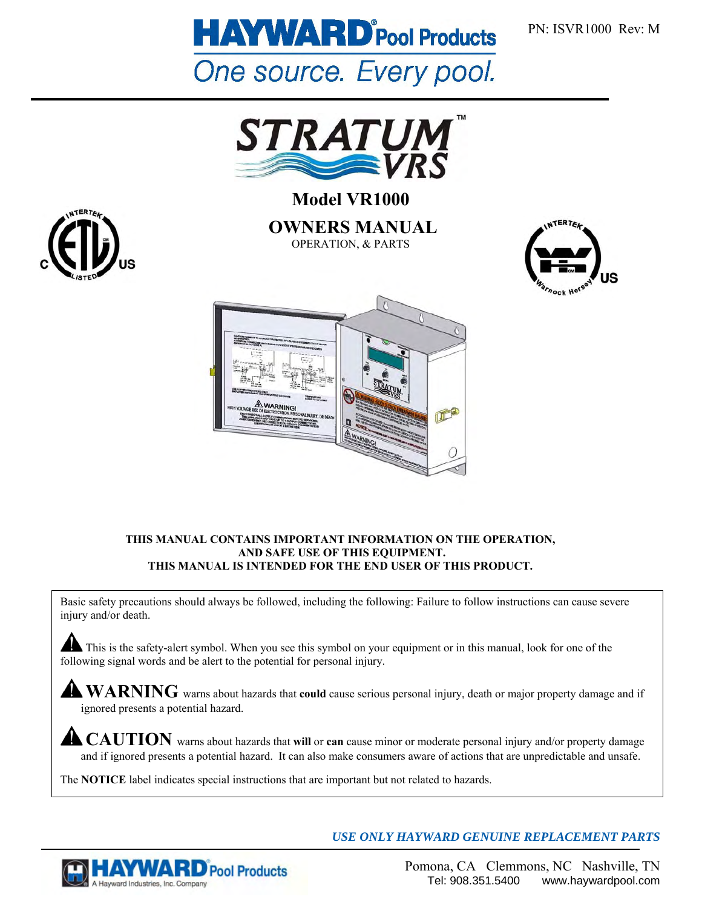



**Model VR1000 OWNERS MANUAL**  OPERATION, & PARTS





#### **THIS MANUAL CONTAINS IMPORTANT INFORMATION ON THE OPERATION, AND SAFE USE OF THIS EQUIPMENT. THIS MANUAL IS INTENDED FOR THE END USER OF THIS PRODUCT.**

Basic safety precautions should always be followed, including the following: Failure to follow instructions can cause severe injury and/or death.

This is the safety-alert symbol. When you see this symbol on your equipment or in this manual, look for one of the following signal words and be alert to the potential for personal injury.

**WARNING** warns about hazards that **could** cause serious personal injury, death or major property damage and if ignored presents a potential hazard.

**CAUTION** warns about hazards that will or **can** cause minor or moderate personal injury and/or property damage and if ignored presents a potential hazard. It can also make consumers aware of actions that are unpredictable and unsafe.

The **NOTICE** label indicates special instructions that are important but not related to hazards.



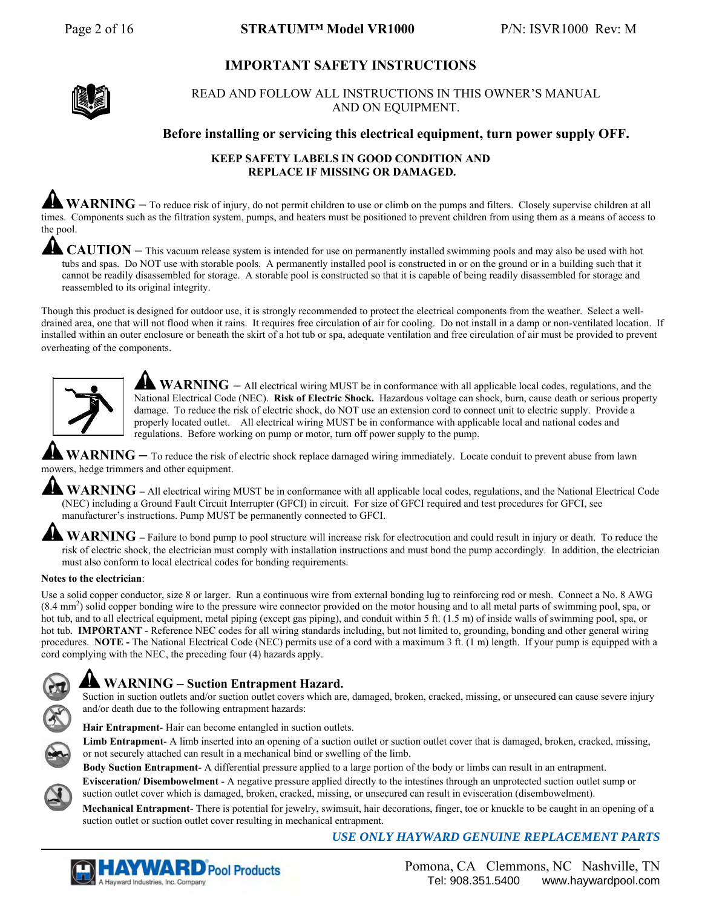## **IMPORTANT SAFETY INSTRUCTIONS**



READ AND FOLLOW ALL INSTRUCTIONS IN THIS OWNER'S MANUAL AND ON EQUIPMENT.

#### **Before installing or servicing this electrical equipment, turn power supply OFF.**

#### **KEEP SAFETY LABELS IN GOOD CONDITION AND REPLACE IF MISSING OR DAMAGED.**

WARNING – To reduce risk of injury, do not permit children to use or climb on the pumps and filters. Closely supervise children at all times. Components such as the filtration system, pumps, and heaters must be positioned to prevent children from using them as a means of access to the pool.

**CAUTION –** This vacuum release system is intended for use on permanently installed swimming pools and may also be used with hot tubs and spas. Do NOT use with storable pools. A permanently installed pool is constructed in or on the ground or in a building such that it cannot be readily disassembled for storage. A storable pool is constructed so that it is capable of being readily disassembled for storage and reassembled to its original integrity.

Though this product is designed for outdoor use, it is strongly recommended to protect the electrical components from the weather. Select a welldrained area, one that will not flood when it rains. It requires free circulation of air for cooling. Do not install in a damp or non-ventilated location. If installed within an outer enclosure or beneath the skirt of a hot tub or spa, adequate ventilation and free circulation of air must be provided to prevent overheating of the components.



**WARNING** – All electrical wiring MUST be in conformance with all applicable local codes, regulations, and the National Electrical Code (NEC). **Risk of Electric Shock.** Hazardous voltage can shock, burn, cause death or serious property damage. To reduce the risk of electric shock, do NOT use an extension cord to connect unit to electric supply. Provide a properly located outlet. All electrical wiring MUST be in conformance with applicable local and national codes and regulations. Before working on pump or motor, turn off power supply to the pump.

WARNING – To reduce the risk of electric shock replace damaged wiring immediately. Locate conduit to prevent abuse from lawn mowers, hedge trimmers and other equipment.

WARNING – All electrical wiring MUST be in conformance with all applicable local codes, regulations, and the National Electrical Code (NEC) including a Ground Fault Circuit Interrupter (GFCI) in circuit. For size of GFCI required and test procedures for GFCI, see manufacturer's instructions. Pump MUST be permanently connected to GFCI.

**WARNING** – Failure to bond pump to pool structure will increase risk for electrocution and could result in injury or death. To reduce the risk of electric shock, the electrician must comply with installation instructions and must bond the pump accordingly. In addition, the electrician must also conform to local electrical codes for bonding requirements.

#### **Notes to the electrician**:

Use a solid copper conductor, size 8 or larger. Run a continuous wire from external bonding lug to reinforcing rod or mesh. Connect a No. 8 AWG (8.4 mm2 ) solid copper bonding wire to the pressure wire connector provided on the motor housing and to all metal parts of swimming pool, spa, or hot tub, and to all electrical equipment, metal piping (except gas piping), and conduit within 5 ft. (1.5 m) of inside walls of swimming pool, spa, or hot tub. **IMPORTANT** - Reference NEC codes for all wiring standards including, but not limited to, grounding, bonding and other general wiring procedures. **NOTE -** The National Electrical Code (NEC) permits use of a cord with a maximum 3 ft. (1 m) length. If your pump is equipped with a cord complying with the NEC, the preceding four (4) hazards apply.

## **WARNING – Suction Entrapment Hazard.**

Suction in suction outlets and/or suction outlet covers which are, damaged, broken, cracked, missing, or unsecured can cause severe injury and/or death due to the following entrapment hazards:

**Hair Entrapment**- Hair can become entangled in suction outlets.

Limb Entrapment- A limb inserted into an opening of a suction outlet or suction outlet cover that is damaged, broken, cracked, missing, or not securely attached can result in a mechanical bind or swelling of the limb.

**Body Suction Entrapment**- A differential pressure applied to a large portion of the body or limbs can result in an entrapment.

**Evisceration/ Disembowelment** - A negative pressure applied directly to the intestines through an unprotected suction outlet sump or suction outlet cover which is damaged, broken, cracked, missing, or unsecured can result in evisceration (disembowelment).

**Mechanical Entrapment**- There is potential for jewelry, swimsuit, hair decorations, finger, toe or knuckle to be caught in an opening of a suction outlet or suction outlet cover resulting in mechanical entrapment.

*USE ONLY HAYWARD GENUINE REPLACEMENT PARTS* 



 Pomona, CA Clemmons, NC Nashville, TN Tel: 908.351.5400 www.haywardpool.com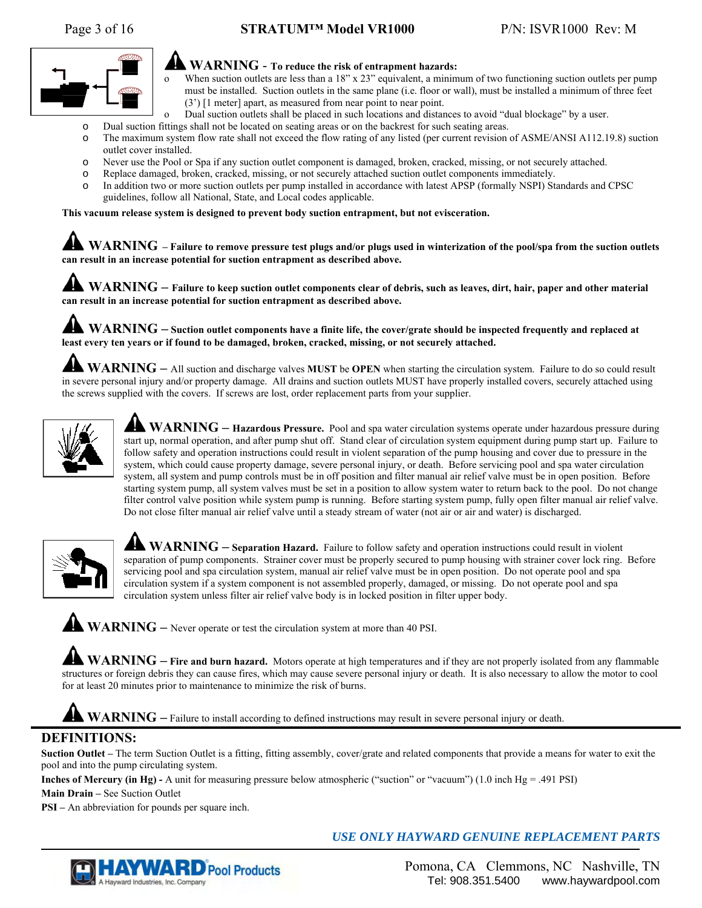## Page 3 of 16 **STRATUM™ Model VR1000** P/N: ISVR1000 Rev: M



## **WARNING** - **To reduce the risk of entrapment hazards:**

- o When suction outlets are less than a 18" x 23" equivalent, a minimum of two functioning suction outlets per pump must be installed. Suction outlets in the same plane (i.e. floor or wall), must be installed a minimum of three feet (3') [1 meter] apart, as measured from near point to near point.
- Dual suction outlets shall be placed in such locations and distances to avoid "dual blockage" by a user.
- o Dual suction fittings shall not be located on seating areas or on the backrest for such seating areas.
- o The maximum system flow rate shall not exceed the flow rating of any listed (per current revision of ASME/ANSI A112.19.8) suction outlet cover installed.
- o Never use the Pool or Spa if any suction outlet component is damaged, broken, cracked, missing, or not securely attached.
- o Replace damaged, broken, cracked, missing, or not securely attached suction outlet components immediately.
- o In addition two or more suction outlets per pump installed in accordance with latest APSP (formally NSPI) Standards and CPSC guidelines, follow all National, State, and Local codes applicable.

**This vacuum release system is designed to prevent body suction entrapment, but not evisceration.**

**WARNING – Failure to remove pressure test plugs and/or plugs used in winterization of the pool/spa from the suction outlets can result in an increase potential for suction entrapment as described above.** 

**WARNING** – Failure to keep suction outlet components clear of debris, such as leaves, dirt, hair, paper and other material **can result in an increase potential for suction entrapment as described above.** 

**WARNING – Suction outlet components have a finite life, the cover/grate should be inspected frequently and replaced at least every ten years or if found to be damaged, broken, cracked, missing, or not securely attached.**

**WARNING –** All suction and discharge valves **MUST** be **OPEN** when starting the circulation system. Failure to do so could result in severe personal injury and/or property damage. All drains and suction outlets MUST have properly installed covers, securely attached using the screws supplied with the covers. If screws are lost, order replacement parts from your supplier.



WARNING – Hazardous Pressure. Pool and spa water circulation systems operate under hazardous pressure during start up, normal operation, and after pump shut off. Stand clear of circulation system equipment during pump start up. Failure to follow safety and operation instructions could result in violent separation of the pump housing and cover due to pressure in the system, which could cause property damage, severe personal injury, or death. Before servicing pool and spa water circulation system, all system and pump controls must be in off position and filter manual air relief valve must be in open position. Before starting system pump, all system valves must be set in a position to allow system water to return back to the pool. Do not change filter control valve position while system pump is running. Before starting system pump, fully open filter manual air relief valve. Do not close filter manual air relief valve until a steady stream of water (not air or air and water) is discharged.



**WARNING** – Separation Hazard. Failure to follow safety and operation instructions could result in violent separation of pump components. Strainer cover must be properly secured to pump housing with strainer cover lock ring. Before servicing pool and spa circulation system, manual air relief valve must be in open position. Do not operate pool and spa circulation system if a system component is not assembled properly, damaged, or missing. Do not operate pool and spa circulation system unless filter air relief valve body is in locked position in filter upper body.

**WARNING –** Never operate or test the circulation system at more than 40 PSI.

WARNING – Fire and burn hazard. Motors operate at high temperatures and if they are not properly isolated from any flammable structures or foreign debris they can cause fires, which may cause severe personal injury or death. It is also necessary to allow the motor to cool for at least 20 minutes prior to maintenance to minimize the risk of burns.

**WARNING –** Failure to install according to defined instructions may result in severe personal injury or death.

## **DEFINITIONS:**

**Suction Outlet –** The term Suction Outlet is a fitting, fitting assembly, cover/grate and related components that provide a means for water to exit the pool and into the pump circulating system.

**Inches of Mercury (in Hg) -** A unit for measuring pressure below atmospheric ("suction" or "vacuum") (1.0 inch Hg = .491 PSI)

**Main Drain –** See Suction Outlet

**PSI –** An abbreviation for pounds per square inch.

## **YWARD** Pool Products A Hayward Industries, Inc. Company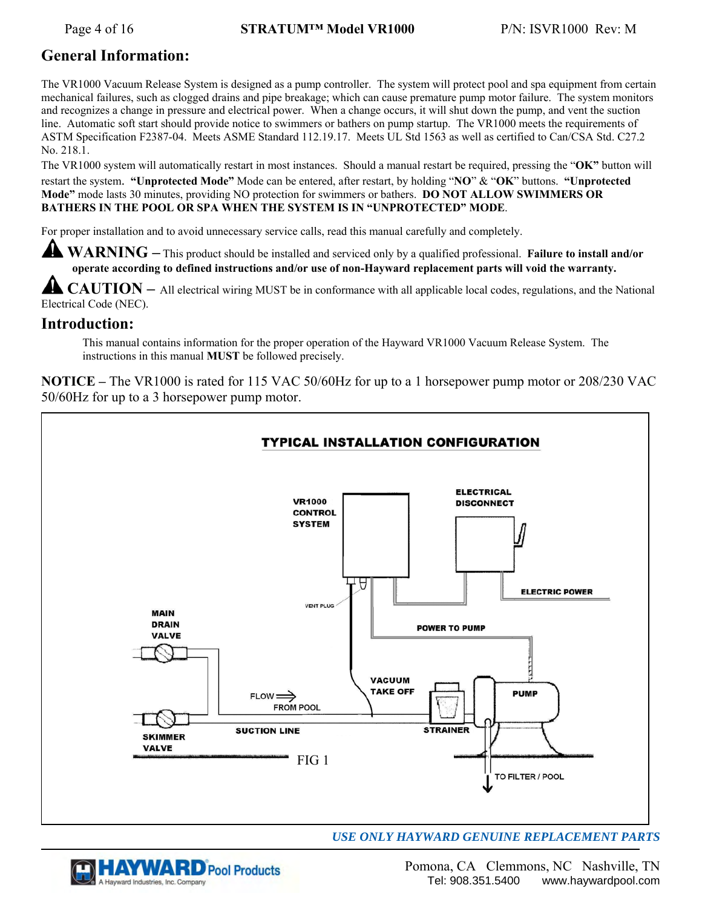## **General Information:**

The VR1000 Vacuum Release System is designed as a pump controller. The system will protect pool and spa equipment from certain mechanical failures, such as clogged drains and pipe breakage; which can cause premature pump motor failure. The system monitors and recognizes a change in pressure and electrical power. When a change occurs, it will shut down the pump, and vent the suction line. Automatic soft start should provide notice to swimmers or bathers on pump startup. The VR1000 meets the requirements of ASTM Specification F2387-04. Meets ASME Standard 112.19.17. Meets UL Std 1563 as well as certified to Can/CSA Std. C27.2 No. 218.1.

The VR1000 system will automatically restart in most instances. Should a manual restart be required, pressing the "**OK"** button will restart the system. **"Unprotected Mode"** Mode can be entered, after restart, by holding "**NO**" & "**OK**" buttons. **"Unprotected Mode"** mode lasts 30 minutes, providing NO protection for swimmers or bathers. **DO NOT ALLOW SWIMMERS OR BATHERS IN THE POOL OR SPA WHEN THE SYSTEM IS IN "UNPROTECTED" MODE**.

For proper installation and to avoid unnecessary service calls, read this manual carefully and completely.

**WARNING –** This product should be installed and serviced only by a qualified professional. **Failure to install and/or operate according to defined instructions and/or use of non-Hayward replacement parts will void the warranty.**

**CAUTION** – All electrical wiring MUST be in conformance with all applicable local codes, regulations, and the National Electrical Code (NEC).

## **Introduction:**

This manual contains information for the proper operation of the Hayward VR1000 Vacuum Release System. The instructions in this manual **MUST** be followed precisely.

**NOTICE –** The VR1000 is rated for 115 VAC 50/60Hz for up to a 1 horsepower pump motor or 208/230 VAC 50/60Hz for up to a 3 horsepower pump motor.





 Pomona, CA Clemmons, NC Nashville, TN Tel: 908.351.5400 www.haywardpool.com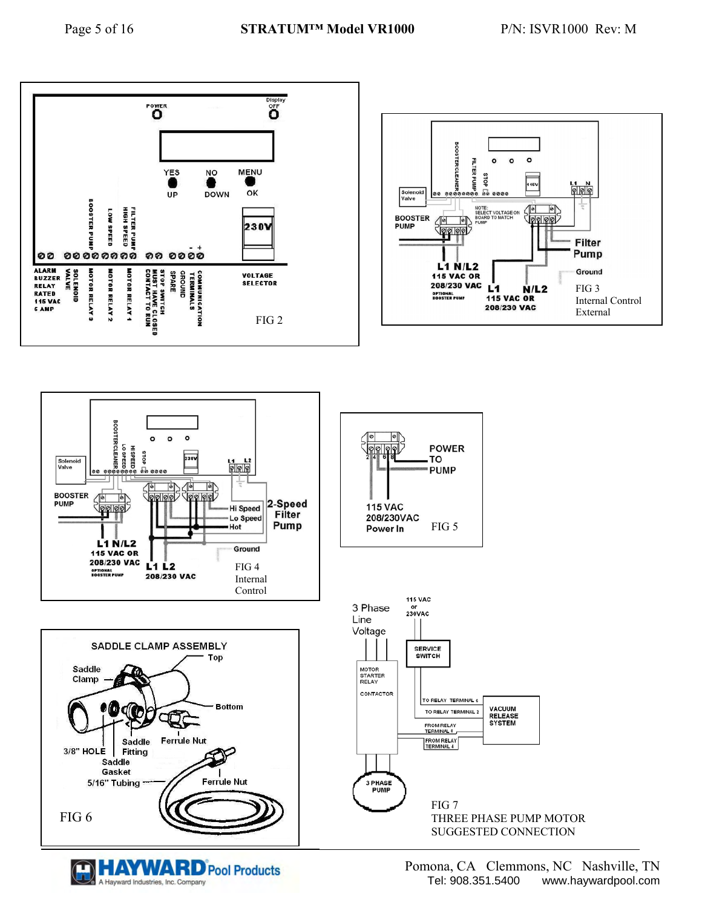





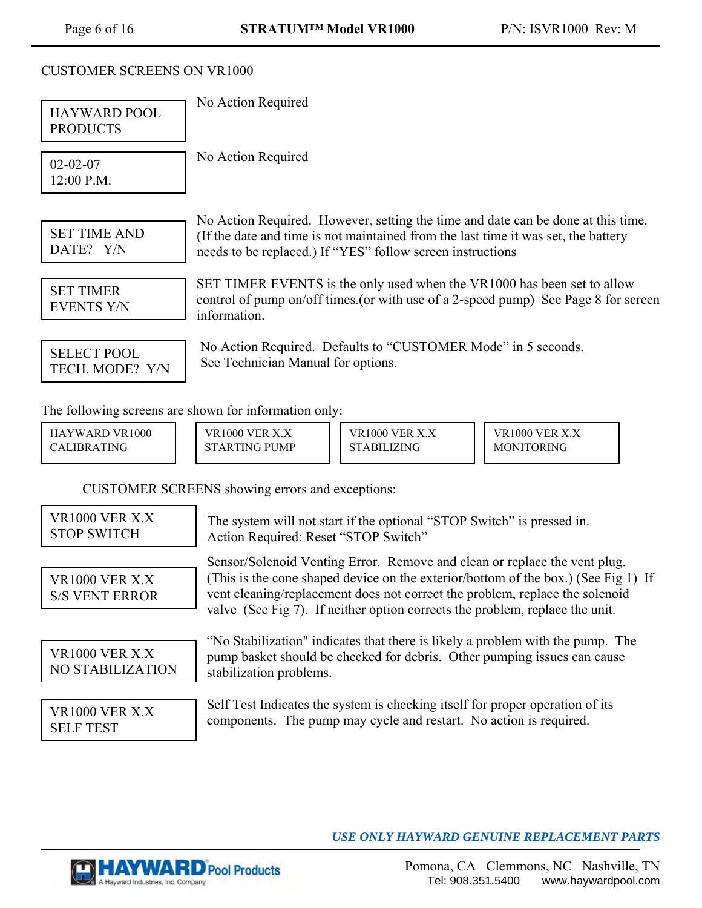## CUSTOMER SCREENS ON VR1000

| HAYWARD POOL<br><b>PRODUCTS</b>                | No Action Required                                                                                                                                                                                                                                                                                                              |                                                                                                                                                     |                                                                                                                                                            |  |
|------------------------------------------------|---------------------------------------------------------------------------------------------------------------------------------------------------------------------------------------------------------------------------------------------------------------------------------------------------------------------------------|-----------------------------------------------------------------------------------------------------------------------------------------------------|------------------------------------------------------------------------------------------------------------------------------------------------------------|--|
| $02 - 02 - 07$<br>12:00 P.M.                   | No Action Required                                                                                                                                                                                                                                                                                                              |                                                                                                                                                     |                                                                                                                                                            |  |
| <b>SET TIME AND</b><br>DATE? Y/N               | No Action Required. However, setting the time and date can be done at this time.<br>(If the date and time is not maintained from the last time it was set, the battery<br>needs to be replaced.) If "YES" follow screen instructions                                                                                            |                                                                                                                                                     |                                                                                                                                                            |  |
| <b>SET TIMER</b><br><b>EVENTS Y/N</b>          | SET TIMER EVENTS is the only used when the VR1000 has been set to allow<br>control of pump on/off times.(or with use of a 2-speed pump) See Page 8 for screen<br>information.                                                                                                                                                   |                                                                                                                                                     |                                                                                                                                                            |  |
| <b>SELECT POOL</b><br>TECH. MODE? Y/N          | No Action Required. Defaults to "CUSTOMER Mode" in 5 seconds.<br>See Technician Manual for options.                                                                                                                                                                                                                             |                                                                                                                                                     |                                                                                                                                                            |  |
|                                                | The following screens are shown for information only:                                                                                                                                                                                                                                                                           |                                                                                                                                                     |                                                                                                                                                            |  |
| HAYWARD VR1000<br>CALIBRATING                  | <b>VR1000 VER X.X</b><br><b>STARTING PUMP</b>                                                                                                                                                                                                                                                                                   | <b>VR1000 VER X.X</b><br><b>STABILIZING</b>                                                                                                         | VR1000 VER X.X<br><b>MONITORING</b>                                                                                                                        |  |
|                                                | CUSTOMER SCREENS showing errors and exceptions:                                                                                                                                                                                                                                                                                 |                                                                                                                                                     |                                                                                                                                                            |  |
| <b>VR1000 VER X.X</b><br><b>STOP SWITCH</b>    | The system will not start if the optional "STOP Switch" is pressed in.<br>Action Required: Reset "STOP Switch"                                                                                                                                                                                                                  |                                                                                                                                                     |                                                                                                                                                            |  |
| <b>VR1000 VER X.X</b><br><b>S/S VENT ERROR</b> | Sensor/Solenoid Venting Error. Remove and clean or replace the vent plug.<br>(This is the cone shaped device on the exterior/bottom of the box.) (See Fig 1) If<br>vent cleaning/replacement does not correct the problem, replace the solenoid<br>valve (See Fig 7). If neither option corrects the problem, replace the unit. |                                                                                                                                                     |                                                                                                                                                            |  |
| <b>VR1000 VER X.X</b><br>NO STABILIZATION      | stabilization problems.                                                                                                                                                                                                                                                                                                         |                                                                                                                                                     | "No Stabilization" indicates that there is likely a problem with the pump. The<br>pump basket should be checked for debris. Other pumping issues can cause |  |
| <b>VR1000 VER X.X</b><br><b>SELF TEST</b>      |                                                                                                                                                                                                                                                                                                                                 | Self Test Indicates the system is checking itself for proper operation of its<br>components. The pump may cycle and restart. No action is required. |                                                                                                                                                            |  |

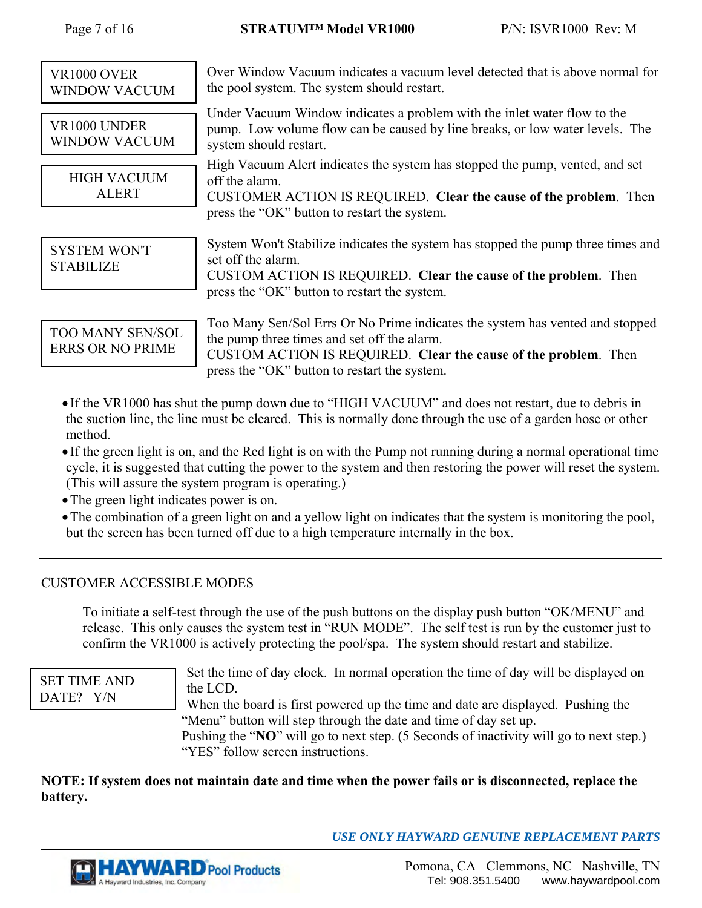| <b>VR1000 OVER</b><br>WINDOW VACUUM                | Over Window Vacuum indicates a vacuum level detected that is above normal for<br>the pool system. The system should restart.                                                                                                                    |
|----------------------------------------------------|-------------------------------------------------------------------------------------------------------------------------------------------------------------------------------------------------------------------------------------------------|
| VR1000 UNDER<br>WINDOW VACUUM                      | Under Vacuum Window indicates a problem with the inlet water flow to the<br>pump. Low volume flow can be caused by line breaks, or low water levels. The<br>system should restart.                                                              |
| <b>HIGH VACUUM</b><br><b>ALERT</b>                 | High Vacuum Alert indicates the system has stopped the pump, vented, and set<br>off the alarm.<br>CUSTOMER ACTION IS REQUIRED. Clear the cause of the problem. Then                                                                             |
|                                                    | press the "OK" button to restart the system.                                                                                                                                                                                                    |
| <b>SYSTEM WON'T</b><br><b>STABILIZE</b>            | System Won't Stabilize indicates the system has stopped the pump three times and<br>set off the alarm.<br>CUSTOM ACTION IS REQUIRED. Clear the cause of the problem. Then                                                                       |
|                                                    | press the "OK" button to restart the system.                                                                                                                                                                                                    |
| <b>TOO MANY SEN/SOL</b><br><b>ERRS OR NO PRIME</b> | Too Many Sen/Sol Errs Or No Prime indicates the system has vented and stopped<br>the pump three times and set off the alarm.<br>CUSTOM ACTION IS REQUIRED. Clear the cause of the problem. Then<br>press the "OK" button to restart the system. |

- If the VR1000 has shut the pump down due to "HIGH VACUUM" and does not restart, due to debris in the suction line, the line must be cleared. This is normally done through the use of a garden hose or other method.
- If the green light is on, and the Red light is on with the Pump not running during a normal operational time cycle, it is suggested that cutting the power to the system and then restoring the power will reset the system. (This will assure the system program is operating.)
- The green light indicates power is on.
- The combination of a green light on and a yellow light on indicates that the system is monitoring the pool, but the screen has been turned off due to a high temperature internally in the box.

## CUSTOMER ACCESSIBLE MODES

To initiate a self-test through the use of the push buttons on the display push button "OK/MENU" and release. This only causes the system test in "RUN MODE". The self test is run by the customer just to confirm the VR1000 is actively protecting the pool/spa. The system should restart and stabilize.

SET TIME AND DATE? Y/N

Set the time of day clock. In normal operation the time of day will be displayed on the LCD.

When the board is first powered up the time and date are displayed. Pushing the "Menu" button will step through the date and time of day set up.

Pushing the "**NO**" will go to next step. (5 Seconds of inactivity will go to next step.) "YES" follow screen instructions.

**NOTE: If system does not maintain date and time when the power fails or is disconnected, replace the battery.** 



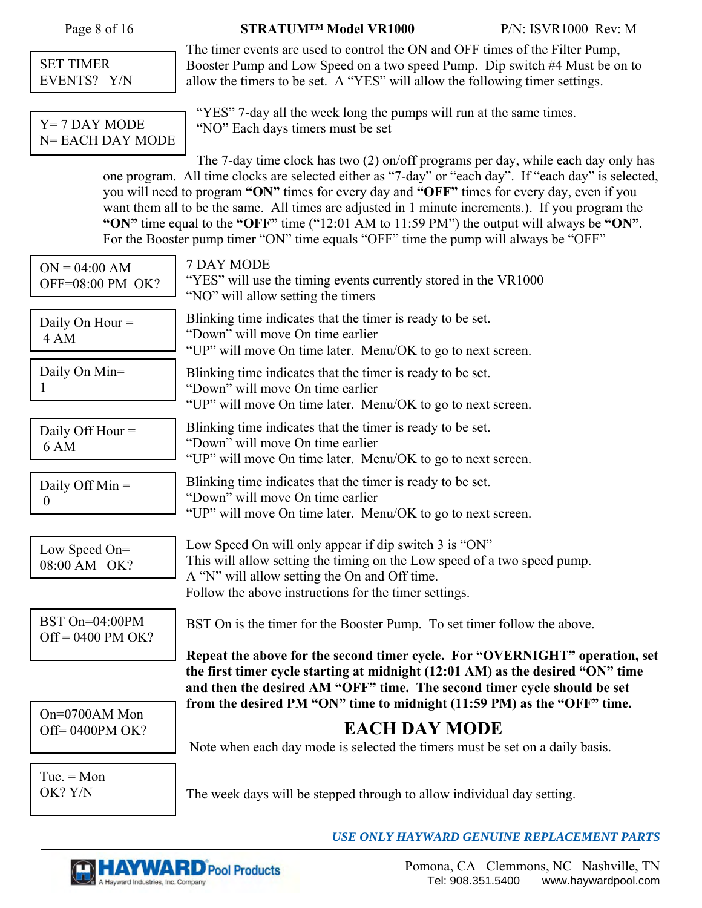Page 8 of 16 **STRATUM™ Model VR1000** P/N: ISVR1000 Rev: M

SET TIMER EVENTS? Y/N

Y= 7 DAY MODE N= EACH DAY MODE "YES" 7-day all the week long the pumps will run at the same times. "NO" Each days timers must be set

The timer events are used to control the ON and OFF times of the Filter Pump, Booster Pump and Low Speed on a two speed Pump. Dip switch #4 Must be on to

allow the timers to be set. A "YES" will allow the following timer settings.

The 7-day time clock has two (2) on/off programs per day, while each day only has one program. All time clocks are selected either as "7-day" or "each day". If "each day" is selected, you will need to program **"ON"** times for every day and **"OFF"** times for every day, even if you want them all to be the same. All times are adjusted in 1 minute increments.). If you program the **"ON"** time equal to the **"OFF"** time ("12:01 AM to 11:59 PM") the output will always be **"ON"**. For the Booster pump timer "ON" time equals "OFF" time the pump will always be "OFF"

| $ON = 04:00 AM$<br>OFF=08:00 PM OK?   | 7 DAY MODE<br>"YES" will use the timing events currently stored in the VR1000<br>"NO" will allow setting the timers                                                                                                                         |
|---------------------------------------|---------------------------------------------------------------------------------------------------------------------------------------------------------------------------------------------------------------------------------------------|
| Daily On Hour $=$<br>4 AM             | Blinking time indicates that the timer is ready to be set.<br>"Down" will move On time earlier<br>"UP" will move On time later. Menu/OK to go to next screen.                                                                               |
| Daily On Min=<br>1                    | Blinking time indicates that the timer is ready to be set.<br>"Down" will move On time earlier<br>"UP" will move On time later. Menu/OK to go to next screen.                                                                               |
| Daily Off Hour $=$<br>6 AM            | Blinking time indicates that the timer is ready to be set.<br>"Down" will move On time earlier<br>"UP" will move On time later. Menu/OK to go to next screen.                                                                               |
| Daily Off $Min =$<br>$\overline{0}$   | Blinking time indicates that the timer is ready to be set.<br>"Down" will move On time earlier<br>"UP" will move On time later. Menu/OK to go to next screen.                                                                               |
| Low Speed On=<br>08:00 AM OK?         | Low Speed On will only appear if dip switch 3 is "ON"<br>This will allow setting the timing on the Low speed of a two speed pump.<br>A "N" will allow setting the On and Off time.<br>Follow the above instructions for the timer settings. |
| BST On=04:00PM<br>$Off = 0400$ PM OK? | BST On is the timer for the Booster Pump. To set timer follow the above.<br>Repeat the above for the second timer cycle. For "OVERNIGHT" operation, set                                                                                     |
|                                       | the first timer cycle starting at midnight (12:01 AM) as the desired "ON" time<br>and then the desired AM "OFF" time. The second timer cycle should be set                                                                                  |
| On=0700AM Mon<br>Off=0400PM OK?       | from the desired PM "ON" time to midnight (11:59 PM) as the "OFF" time.<br><b>EACH DAY MODE</b><br>Note when each day mode is selected the timers must be set on a daily basis.                                                             |
| Tue. $=$ Mon<br>OK? Y/N               | The week days will be stepped through to allow individual day setting.                                                                                                                                                                      |



*USE ONLY HAYWARD GENUINE REPLACEMENT PARTS* 

 Pomona, CA Clemmons, NC Nashville, TN Tel: 908.351.5400 www.haywardpool.com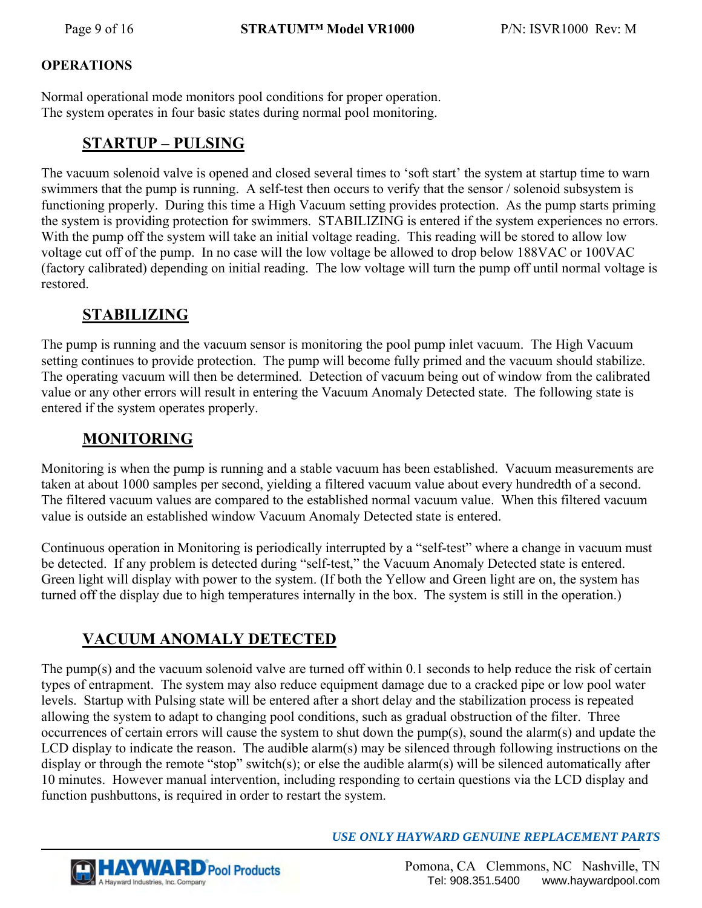## **OPERATIONS**

Normal operational mode monitors pool conditions for proper operation. The system operates in four basic states during normal pool monitoring.

# **STARTUP – PULSING**

The vacuum solenoid valve is opened and closed several times to 'soft start' the system at startup time to warn swimmers that the pump is running. A self-test then occurs to verify that the sensor / solenoid subsystem is functioning properly. During this time a High Vacuum setting provides protection. As the pump starts priming the system is providing protection for swimmers. STABILIZING is entered if the system experiences no errors. With the pump off the system will take an initial voltage reading. This reading will be stored to allow low voltage cut off of the pump. In no case will the low voltage be allowed to drop below 188VAC or 100VAC (factory calibrated) depending on initial reading. The low voltage will turn the pump off until normal voltage is restored.

# **STABILIZING**

The pump is running and the vacuum sensor is monitoring the pool pump inlet vacuum. The High Vacuum setting continues to provide protection. The pump will become fully primed and the vacuum should stabilize. The operating vacuum will then be determined. Detection of vacuum being out of window from the calibrated value or any other errors will result in entering the Vacuum Anomaly Detected state. The following state is entered if the system operates properly.

# **MONITORING**

Monitoring is when the pump is running and a stable vacuum has been established. Vacuum measurements are taken at about 1000 samples per second, yielding a filtered vacuum value about every hundredth of a second. The filtered vacuum values are compared to the established normal vacuum value. When this filtered vacuum value is outside an established window Vacuum Anomaly Detected state is entered.

Continuous operation in Monitoring is periodically interrupted by a "self-test" where a change in vacuum must be detected. If any problem is detected during "self-test," the Vacuum Anomaly Detected state is entered. Green light will display with power to the system. (If both the Yellow and Green light are on, the system has turned off the display due to high temperatures internally in the box. The system is still in the operation.)

# **VACUUM ANOMALY DETECTED**

The pump(s) and the vacuum solenoid valve are turned off within 0.1 seconds to help reduce the risk of certain types of entrapment. The system may also reduce equipment damage due to a cracked pipe or low pool water levels. Startup with Pulsing state will be entered after a short delay and the stabilization process is repeated allowing the system to adapt to changing pool conditions, such as gradual obstruction of the filter. Three occurrences of certain errors will cause the system to shut down the pump(s), sound the alarm(s) and update the LCD display to indicate the reason. The audible alarm(s) may be silenced through following instructions on the display or through the remote "stop" switch(s); or else the audible alarm(s) will be silenced automatically after 10 minutes. However manual intervention, including responding to certain questions via the LCD display and function pushbuttons, is required in order to restart the system.

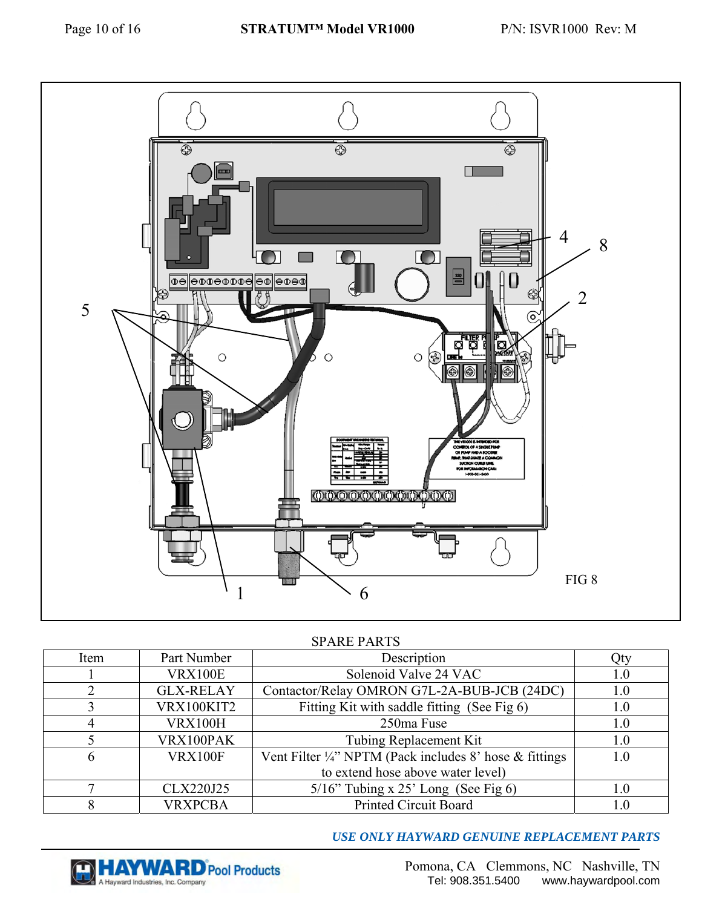

#### SPARE PARTS

| Item | Part Number      | Description                                                        | Qty |
|------|------------------|--------------------------------------------------------------------|-----|
|      | <b>VRX100E</b>   | Solenoid Valve 24 VAC                                              | 1.0 |
|      | <b>GLX-RELAY</b> | Contactor/Relay OMRON G7L-2A-BUB-JCB (24DC)                        | 1.0 |
|      | VRX100KIT2       | Fitting Kit with saddle fitting (See Fig 6)                        | 1.0 |
|      | <b>VRX100H</b>   | 250ma Fuse                                                         | 1.0 |
|      | VRX100PAK        | Tubing Replacement Kit                                             | 1.0 |
| 6    | <b>VRX100F</b>   | Vent Filter $\frac{1}{4}$ " NPTM (Pack includes 8' hose & fittings | 1.0 |
|      |                  | to extend hose above water level)                                  |     |
|      | CLX220J25        | $5/16$ " Tubing x 25' Long (See Fig 6)                             | 1.0 |
|      | <b>VRXPCBA</b>   | Printed Circuit Board                                              | 1.0 |

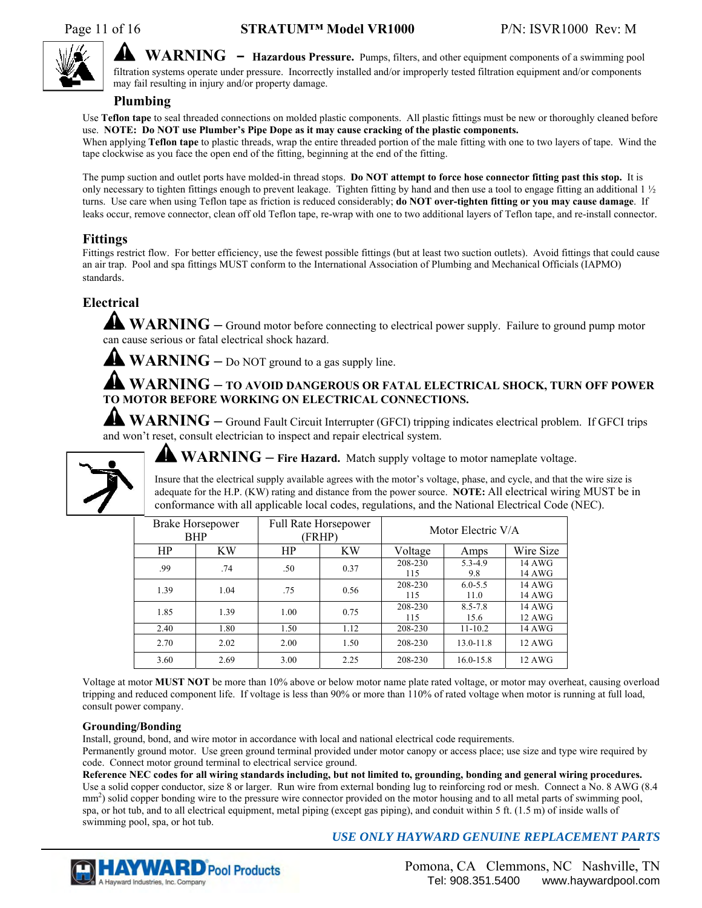

**WARNING – Hazardous Pressure.** Pumps, filters, and other equipment components of a swimming pool filtration systems operate under pressure. Incorrectly installed and/or improperly tested filtration equipment and/or components may fail resulting in injury and/or property damage.

#### **Plumbing**

Use **Teflon tape** to seal threaded connections on molded plastic components. All plastic fittings must be new or thoroughly cleaned before use. **NOTE: Do NOT use Plumber's Pipe Dope as it may cause cracking of the plastic components.**  When applying **Teflon tape** to plastic threads, wrap the entire threaded portion of the male fitting with one to two layers of tape. Wind the

tape clockwise as you face the open end of the fitting, beginning at the end of the fitting.

The pump suction and outlet ports have molded-in thread stops. **Do NOT attempt to force hose connector fitting past this stop.** It is only necessary to tighten fittings enough to prevent leakage. Tighten fitting by hand and then use a tool to engage fitting an additional 1 ½ turns. Use care when using Teflon tape as friction is reduced considerably; **do NOT over-tighten fitting or you may cause damage**. If leaks occur, remove connector, clean off old Teflon tape, re-wrap with one to two additional layers of Teflon tape, and re-install connector.

## **Fittings**

Fittings restrict flow. For better efficiency, use the fewest possible fittings (but at least two suction outlets). Avoid fittings that could cause an air trap. Pool and spa fittings MUST conform to the International Association of Plumbing and Mechanical Officials (IAPMO) standards.

## **Electrical**

**WARNING –** Ground motor before connecting to electrical power supply. Failure to ground pump motor can cause serious or fatal electrical shock hazard.

**WARNING –** Do NOT ground to a gas supply line.

**WARNING – TO AVOID DANGEROUS OR FATAL ELECTRICAL SHOCK, TURN OFF POWER TO MOTOR BEFORE WORKING ON ELECTRICAL CONNECTIONS.**

**WARNING –** Ground Fault Circuit Interrupter (GFCI) tripping indicates electrical problem. If GFCI trips and won't reset, consult electrician to inspect and repair electrical system.



**WARNING** – Fire Hazard. Match supply voltage to motor nameplate voltage.

Insure that the electrical supply available agrees with the motor's voltage, phase, and cycle, and that the wire size is adequate for the H.P. (KW) rating and distance from the power source. **NOTE:** All electrical wiring MUST be in conformance with all applicable local codes, regulations, and the National Electrical Code (NEC).

|      | <b>Brake Horsepower</b><br><b>BHP</b> |      | <b>Full Rate Horsepower</b><br>(FRHP) |                | Motor Electric V/A  |                  |
|------|---------------------------------------|------|---------------------------------------|----------------|---------------------|------------------|
| HP   | KW                                    | HP   | ΚW                                    | Voltage        | Amps                | Wire Size        |
| .99  | .74                                   | .50  | 0.37                                  | 208-230<br>115 | 5.3-4.9<br>9.8      | 14 AWG<br>14 AWG |
| 1.39 | 1.04                                  | .75  | 0.56                                  | 208-230<br>115 | $6.0 - 5.5$<br>11.0 | 14 AWG<br>14 AWG |
| 1.85 | 1.39                                  | 1.00 | 0.75                                  | 208-230<br>115 | $8.5 - 7.8$<br>15.6 | 14 AWG<br>12 AWG |
| 2.40 | 1.80                                  | 1.50 | 1.12                                  | 208-230        | $11 - 10.2$         | 14 AWG           |
| 2.70 | 2.02                                  | 2.00 | 1.50                                  | 208-230        | $13.0 - 11.8$       | 12 AWG           |
| 3.60 | 2.69                                  | 3.00 | 2.25                                  | 208-230        | $16.0 - 15.8$       | <b>12 AWG</b>    |

Voltage at motor **MUST NOT** be more than 10% above or below motor name plate rated voltage, or motor may overheat, causing overload tripping and reduced component life. If voltage is less than 90% or more than 110% of rated voltage when motor is running at full load, consult power company.

#### **Grounding/Bonding**

Install, ground, bond, and wire motor in accordance with local and national electrical code requirements.

Permanently ground motor. Use green ground terminal provided under motor canopy or access place; use size and type wire required by code. Connect motor ground terminal to electrical service ground.

**Reference NEC codes for all wiring standards including, but not limited to, grounding, bonding and general wiring procedures.**  Use a solid copper conductor, size 8 or larger. Run wire from external bonding lug to reinforcing rod or mesh. Connect a No. 8 AWG (8.4 mm<sup>2</sup>) solid copper bonding wire to the pressure wire connector provided on the motor housing and to all metal parts of swimming pool, spa, or hot tub, and to all electrical equipment, metal piping (except gas piping), and conduit within 5 ft. (1.5 m) of inside walls of swimming pool, spa, or hot tub.

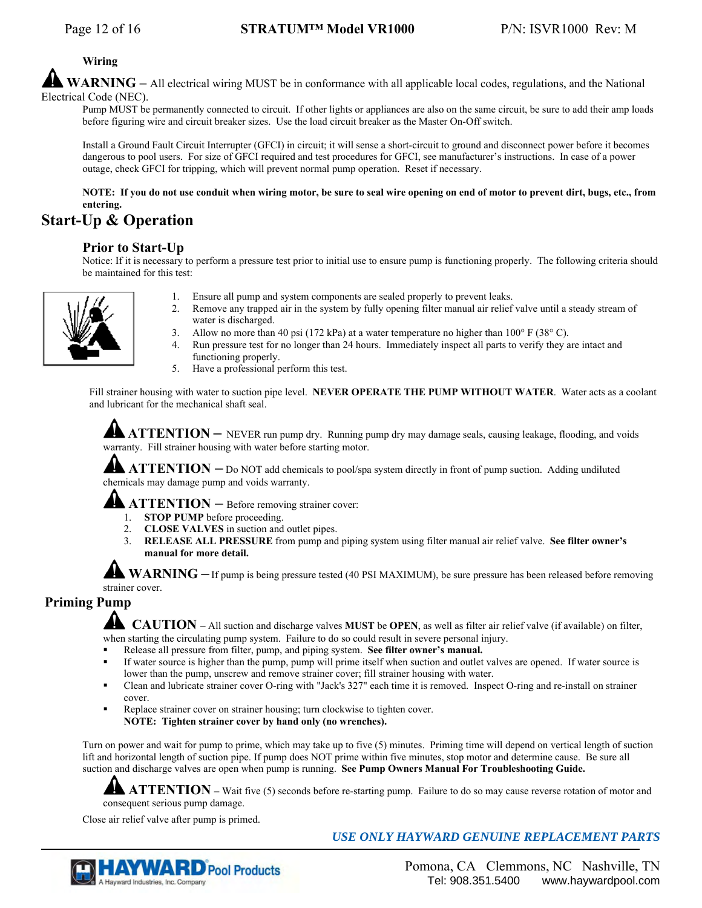#### **Wiring**

WARNING – All electrical wiring MUST be in conformance with all applicable local codes, regulations, and the National Electrical Code (NEC).

Pump MUST be permanently connected to circuit. If other lights or appliances are also on the same circuit, be sure to add their amp loads before figuring wire and circuit breaker sizes. Use the load circuit breaker as the Master On-Off switch.

Install a Ground Fault Circuit Interrupter (GFCI) in circuit; it will sense a short-circuit to ground and disconnect power before it becomes dangerous to pool users. For size of GFCI required and test procedures for GFCI, see manufacturer's instructions. In case of a power outage, check GFCI for tripping, which will prevent normal pump operation. Reset if necessary.

#### **NOTE: If you do not use conduit when wiring motor, be sure to seal wire opening on end of motor to prevent dirt, bugs, etc., from entering.**

# **Start-Up & Operation**

#### **Prior to Start-Up**

Notice: If it is necessary to perform a pressure test prior to initial use to ensure pump is functioning properly. The following criteria should be maintained for this test:



- 1. Ensure all pump and system components are sealed properly to prevent leaks.
- 2. Remove any trapped air in the system by fully opening filter manual air relief valve until a steady stream of water is discharged.
- 3. Allow no more than 40 psi (172 kPa) at a water temperature no higher than 100 $\degree$  F (38 $\degree$  C).
- 4. Run pressure test for no longer than 24 hours. Immediately inspect all parts to verify they are intact and functioning properly.
- 5. Have a professional perform this test.

Fill strainer housing with water to suction pipe level. **NEVER OPERATE THE PUMP WITHOUT WATER**. Water acts as a coolant and lubricant for the mechanical shaft seal.

**ATTENTION** – NEVER run pump dry. Running pump dry may damage seals, causing leakage, flooding, and voids warranty. Fill strainer housing with water before starting motor.

**ATTENTION** – Do NOT add chemicals to pool/spa system directly in front of pump suction. Adding undiluted chemicals may damage pump and voids warranty.

**ATTENTION** – Before removing strainer cover:

- 1. **STOP PUMP** before proceeding.
- 2. **CLOSE VALVES** in suction and outlet pipes.
- 3. **RELEASE ALL PRESSURE** from pump and piping system using filter manual air relief valve. **See filter owner's manual for more detail.**

**WARNING** – If pump is being pressure tested (40 PSI MAXIMUM), be sure pressure has been released before removing strainer cover.

## **Priming Pump**

 **CAUTION –** All suction and discharge valves **MUST** be **OPEN**, as well as filter air relief valve (if available) on filter, when starting the circulating pump system. Failure to do so could result in severe personal injury.

- Release all pressure from filter, pump, and piping system. **See filter owner's manual.**
- If water source is higher than the pump, pump will prime itself when suction and outlet valves are opened. If water source is lower than the pump, unscrew and remove strainer cover; fill strainer housing with water.
- Clean and lubricate strainer cover O-ring with "Jack's 327" each time it is removed. Inspect O-ring and re-install on strainer cover.
- Replace strainer cover on strainer housing; turn clockwise to tighten cover. **NOTE: Tighten strainer cover by hand only (no wrenches).**

Turn on power and wait for pump to prime, which may take up to five (5) minutes. Priming time will depend on vertical length of suction lift and horizontal length of suction pipe. If pump does NOT prime within five minutes, stop motor and determine cause. Be sure all suction and discharge valves are open when pump is running. **See Pump Owners Manual For Troubleshooting Guide.**

**ATTENTION** – Wait five (5) seconds before re-starting pump. Failure to do so may cause reverse rotation of motor and consequent serious pump damage.

Close air relief valve after pump is primed.

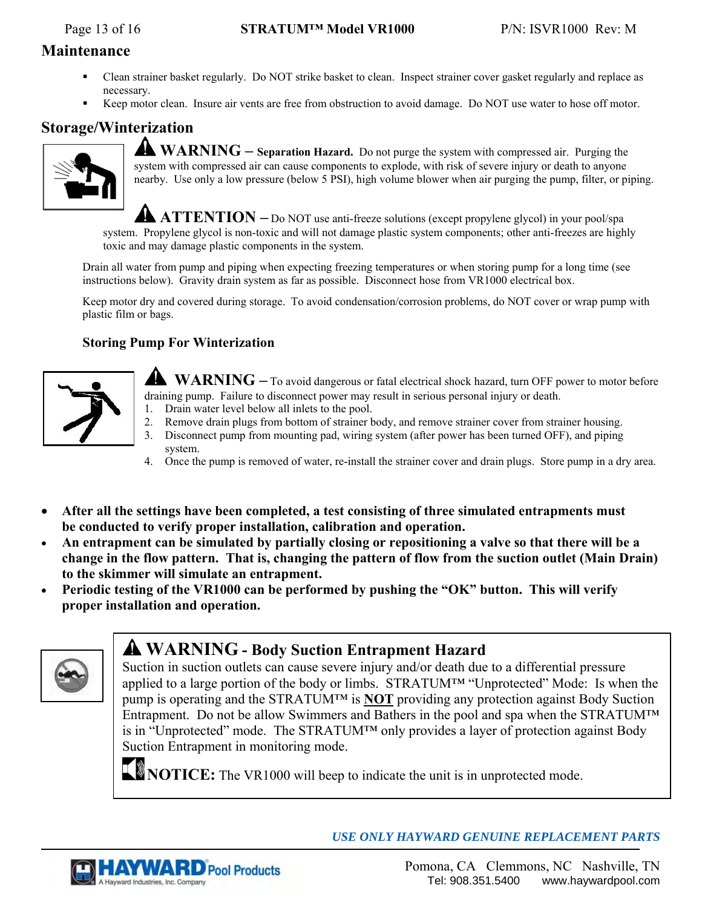## **Maintenance**

- Clean strainer basket regularly. Do NOT strike basket to clean. Inspect strainer cover gasket regularly and replace as necessary.
- Keep motor clean. Insure air vents are free from obstruction to avoid damage. Do NOT use water to hose off motor.

# **Storage/Winterization**



**WARNING – Separation Hazard.** Do not purge the system with compressed air. Purging the system with compressed air can cause components to explode, with risk of severe injury or death to anyone nearby. Use only a low pressure (below 5 PSI), high volume blower when air purging the pump, filter, or piping.

**ATTENTION** – Do NOT use anti-freeze solutions (except propylene glycol) in your pool/spa system. Propylene glycol is non-toxic and will not damage plastic system components; other anti-freezes are highly toxic and may damage plastic components in the system.

Drain all water from pump and piping when expecting freezing temperatures or when storing pump for a long time (see instructions below). Gravity drain system as far as possible. Disconnect hose from VR1000 electrical box.

Keep motor dry and covered during storage. To avoid condensation/corrosion problems, do NOT cover or wrap pump with plastic film or bags.

## **Storing Pump For Winterization**



- **WARNING –** To avoid dangerous or fatal electrical shock hazard, turn OFF power to motor before draining pump. Failure to disconnect power may result in serious personal injury or death.
- 1. Drain water level below all inlets to the pool.
- 2. Remove drain plugs from bottom of strainer body, and remove strainer cover from strainer housing.
- 3. Disconnect pump from mounting pad, wiring system (after power has been turned OFF), and piping system.
- 4. Once the pump is removed of water, re-install the strainer cover and drain plugs. Store pump in a dry area.
- **After all the settings have been completed, a test consisting of three simulated entrapments must be conducted to verify proper installation, calibration and operation.**
- **An entrapment can be simulated by partially closing or repositioning a valve so that there will be a change in the flow pattern. That is, changing the pattern of flow from the suction outlet (Main Drain) to the skimmer will simulate an entrapment.**
- **Periodic testing of the VR1000 can be performed by pushing the "OK" button. This will verify proper installation and operation.**



# **WARNING - Body Suction Entrapment Hazard**

Suction in suction outlets can cause severe injury and/or death due to a differential pressure applied to a large portion of the body or limbs. STRATUM™ "Unprotected" Mode: Is when the pump is operating and the STRATUM™ is **NOT** providing any protection against Body Suction Entrapment. Do not be allow Swimmers and Bathers in the pool and spa when the STRATUM™ is in "Unprotected" mode. The STRATUM™ only provides a layer of protection against Body Suction Entrapment in monitoring mode.



**NOTICE:** The VR1000 will beep to indicate the unit is in unprotected mode.

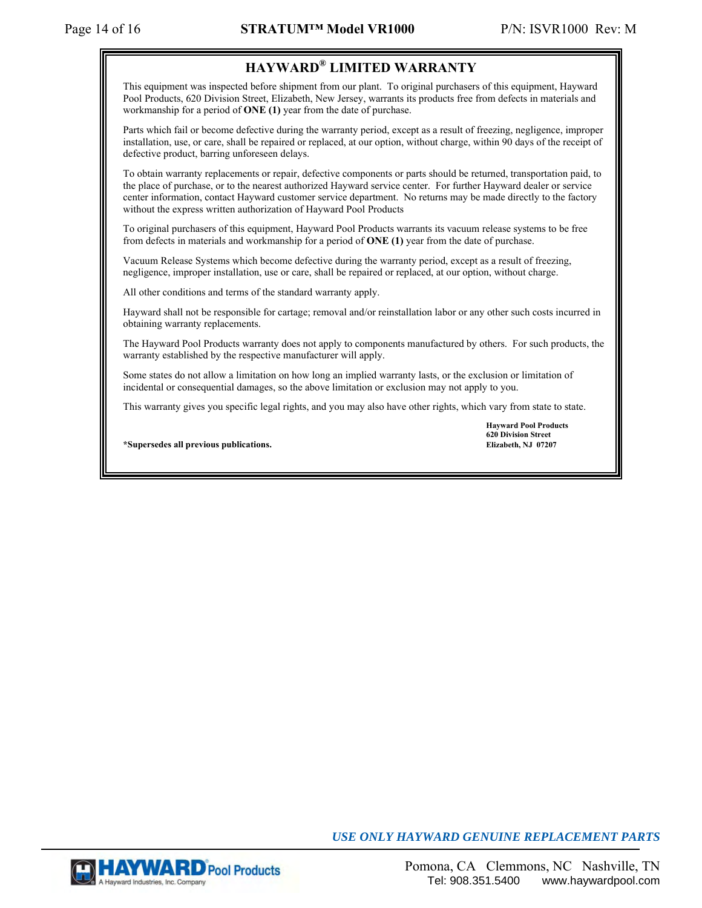## **HAYWARD® LIMITED WARRANTY**

This equipment was inspected before shipment from our plant. To original purchasers of this equipment, Hayward Pool Products, 620 Division Street, Elizabeth, New Jersey, warrants its products free from defects in materials and workmanship for a period of **ONE (1)** year from the date of purchase.

Parts which fail or become defective during the warranty period, except as a result of freezing, negligence, improper installation, use, or care, shall be repaired or replaced, at our option, without charge, within 90 days of the receipt of defective product, barring unforeseen delays.

To obtain warranty replacements or repair, defective components or parts should be returned, transportation paid, to the place of purchase, or to the nearest authorized Hayward service center. For further Hayward dealer or service center information, contact Hayward customer service department. No returns may be made directly to the factory without the express written authorization of Hayward Pool Products

To original purchasers of this equipment, Hayward Pool Products warrants its vacuum release systems to be free from defects in materials and workmanship for a period of **ONE (1)** year from the date of purchase.

Vacuum Release Systems which become defective during the warranty period, except as a result of freezing, negligence, improper installation, use or care, shall be repaired or replaced, at our option, without charge.

All other conditions and terms of the standard warranty apply.

Hayward shall not be responsible for cartage; removal and/or reinstallation labor or any other such costs incurred in obtaining warranty replacements.

The Hayward Pool Products warranty does not apply to components manufactured by others. For such products, the warranty established by the respective manufacturer will apply.

Some states do not allow a limitation on how long an implied warranty lasts, or the exclusion or limitation of incidental or consequential damages, so the above limitation or exclusion may not apply to you.

This warranty gives you specific legal rights, and you may also have other rights, which vary from state to state.

**\*Supersedes all previous publications. Elizabeth, NJ 07207** 

 **Hayward Pool Products 620 Division Street** 

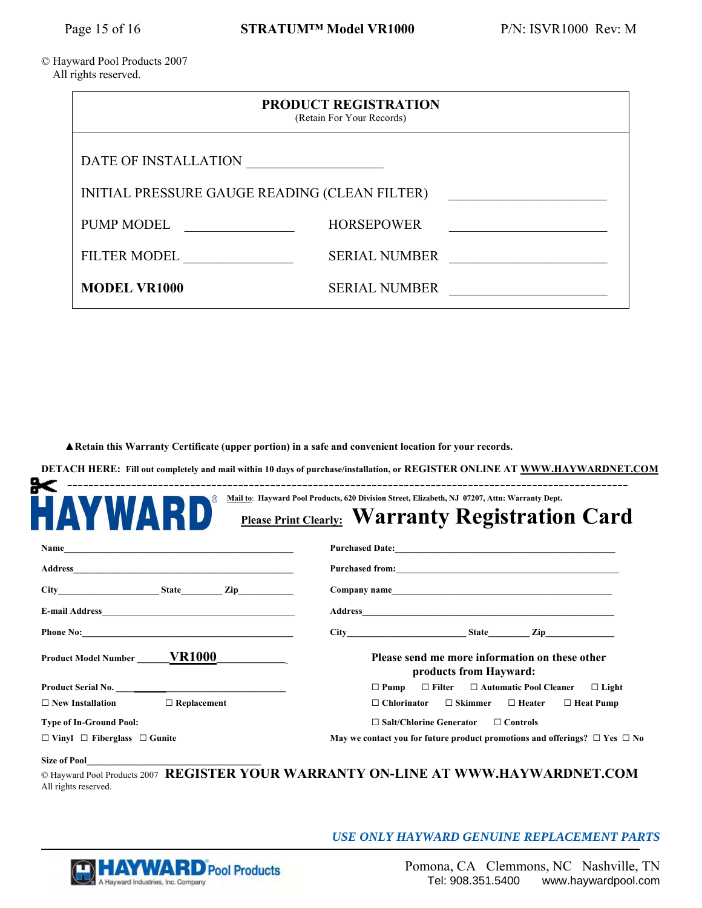#### © Hayward Pool Products 2007 All rights reserved.

| <b>PRODUCT REGISTRATION</b><br>(Retain For Your Records) |                      |  |
|----------------------------------------------------------|----------------------|--|
| DATE OF INSTALLATION                                     |                      |  |
| INITIAL PRESSURE GAUGE READING (CLEAN FILTER)            |                      |  |
| <b>PUMP MODEL</b>                                        | <b>HORSEPOWER</b>    |  |
| <b>FILTER MODEL</b>                                      | <b>SERIAL NUMBER</b> |  |
| <b>MODEL VR1000</b>                                      | <b>SERIAL NUMBER</b> |  |

 **▲Retain this Warranty Certificate (upper portion) in a safe and convenient location for your records.** 

**DETACH HERE: Fill out completely and mail within 10 days of purchase/installation, or REGISTER ONLINE AT WWW.HAYWARDNET.COM**

| <b>AYWARD</b>                                 | <b>Please Print Clearly: Warranty Registration Card</b>                  |                                                                                      |  |  |
|-----------------------------------------------|--------------------------------------------------------------------------|--------------------------------------------------------------------------------------|--|--|
|                                               |                                                                          |                                                                                      |  |  |
|                                               |                                                                          |                                                                                      |  |  |
|                                               |                                                                          |                                                                                      |  |  |
|                                               |                                                                          |                                                                                      |  |  |
|                                               | $City$ $City$ $State$ $Zip$                                              |                                                                                      |  |  |
| Product Model Number _______ <b>VR1000</b>    | Please send me more information on these other<br>products from Hayward: |                                                                                      |  |  |
| Product Serial No.                            | $\Box$ Pump $\Box$ Filter $\Box$ Automatic Pool Cleaner $\Box$ Light     |                                                                                      |  |  |
| $\Box$ New Installation<br>$\Box$ Replacement | $\Box$ Skimmer $\Box$ Heater $\Box$ Heat Pump<br>$\Box$ Chlorinator      |                                                                                      |  |  |
| <b>Type of In-Ground Pool:</b>                | $\Box$ Salt/Chlorine Generator<br>$\Box$ Controls                        |                                                                                      |  |  |
| $\Box$ Vinyl $\Box$ Fiberglass $\Box$ Gunite  |                                                                          | May we contact you for future product promotions and offerings? $\Box$ Yes $\Box$ No |  |  |

All rights reserved.